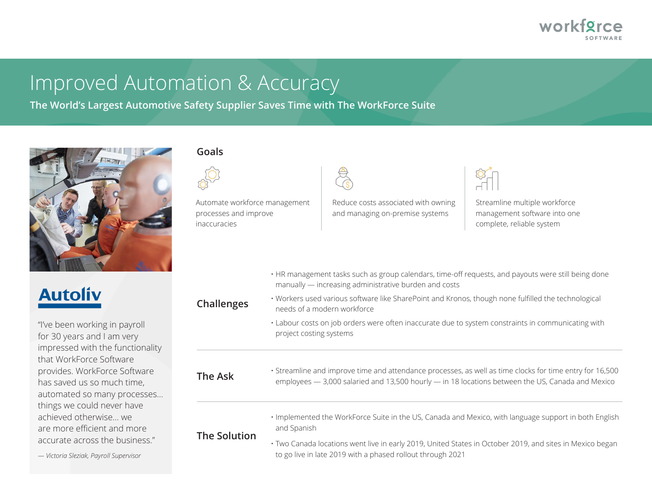

# Improved Automation & Accuracy

**The World's Largest Automotive Safety Supplier Saves Time with The WorkForce Suite** 



### **Goals**

Automate workforce management processes and improve inaccuracies



Reduce costs associated with owning and managing on-premise systems



Streamline multiple workforce management software into one complete, reliable system

- HR management tasks such as group calendars, time-off requests, and payouts were still being done manually — increasing administrative burden and costs
- **Challenges** • Workers used various software like SharePoint and Kronos, though none fulfilled the technological needs of a modern workforce
	- Labour costs on job orders were often inaccurate due to system constraints in communicating with project costing systems

**The Ask** • Streamline and improve time and attendance processes, as well as time clocks for time entry for 16,500 employees — 3,000 salaried and 13,500 hourly — in 18 locations between the US, Canada and Mexico

> • Implemented the WorkForce Suite in the US, Canada and Mexico, with language support in both English and Spanish

### **The Solution**

• Two Canada locations went live in early 2019, United States in October 2019, and sites in Mexico began *— Victoria Sleziak, Payroll Supervisor* to go live in late 2019 with a phased rollout through 2021

# **Autoliv**

"I've been working in payroll for 30 years and I am very impressed with the functionality that WorkForce Software provides. WorkForce Software has saved us so much time, automated so many processes… things we could never have achieved otherwise... we are more efficient and more accurate across the business."